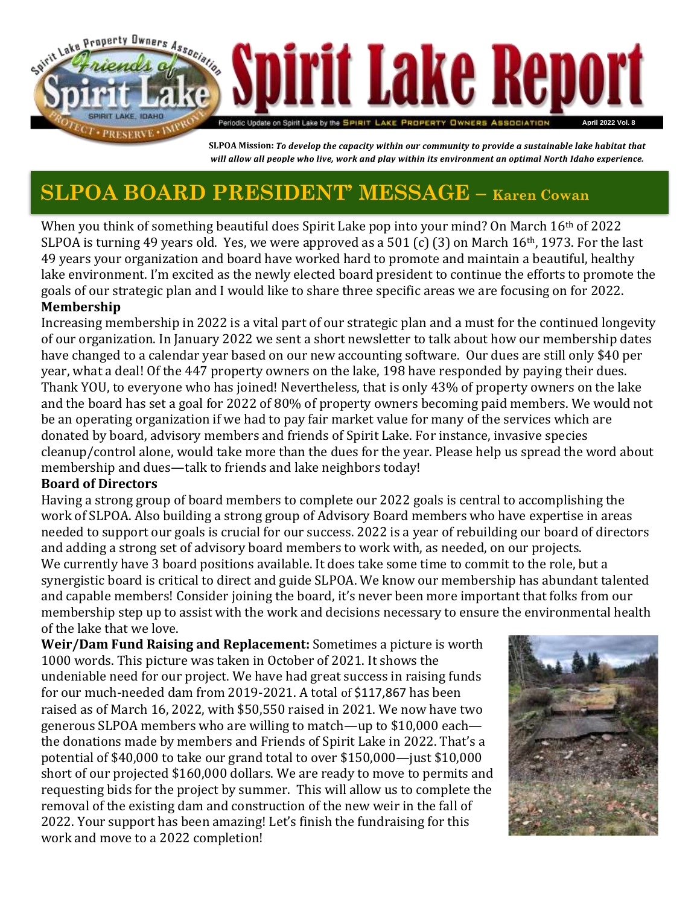

SLPOA Mission: To develop the capacity within our community to provide a sustainable lake habitat that will allow all people who live, work and play within its environment an optimal North Idaho experience.

## **SLPOA BOARD PRESIDENT' MESSAGE – Karen Cowan**

When you think of something beautiful does Spirit Lake pop into your mind? On March 16th of 2022 SLPOA is turning 49 years old. Yes, we were approved as a 501 (c) (3) on March 16th, 1973. For the last 49 years your organization and board have worked hard to promote and maintain a beautiful, healthy lake environment. I'm excited as the newly elected board president to continue the efforts to promote the goals of our strategic plan and I would like to share three specific areas we are focusing on for 2022. **Membership** 

Increasing membership in 2022 is a vital part of our strategic plan and a must for the continued longevity of our organization. In January 2022 we sent a short newsletter to talk about how our membership dates have changed to a calendar year based on our new accounting software. Our dues are still only \$40 per year, what a deal! Of the 447 property owners on the lake, 198 have responded by paying their dues. Thank YOU, to everyone who has joined! Nevertheless, that is only 43% of property owners on the lake and the board has set a goal for 2022 of 80% of property owners becoming paid members. We would not be an operating organization if we had to pay fair market value for many of the services which are donated by board, advisory members and friends of Spirit Lake. For instance, invasive species cleanup/control alone, would take more than the dues for the year. Please help us spread the word about membership and dues—talk to friends and lake neighbors today!

#### **Board of Directors**

Having a strong group of board members to complete our 2022 goals is central to accomplishing the work of SLPOA. Also building a strong group of Advisory Board members who have expertise in areas needed to support our goals is crucial for our success. 2022 is a year of rebuilding our board of directors and adding a strong set of advisory board members to work with, as needed, on our projects. We currently have 3 board positions available. It does take some time to commit to the role, but a synergistic board is critical to direct and guide SLPOA. We know our membership has abundant talented and capable members! Consider joining the board, it's never been more important that folks from our membership step up to assist with the work and decisions necessary to ensure the environmental health of the lake that we love.

**Weir/Dam Fund Raising and Replacement:** Sometimes a picture is worth 1000 words. This picture was taken in October of 2021. It shows the undeniable need for our project. We have had great success in raising funds for our much-needed dam from 2019-2021. A total of \$117,867 has been raised as of March 16, 2022, with \$50,550 raised in 2021. We now have two generous SLPOA members who are willing to match—up to \$10,000 each the donations made by members and Friends of Spirit Lake in 2022. That's a potential of \$40,000 to take our grand total to over \$150,000—just \$10,000 short of our projected \$160,000 dollars. We are ready to move to permits and requesting bids for the project by summer. This will allow us to complete the removal of the existing dam and construction of the new weir in the fall of 2022. Your support has been amazing! Let's finish the fundraising for this work and move to a 2022 completion!

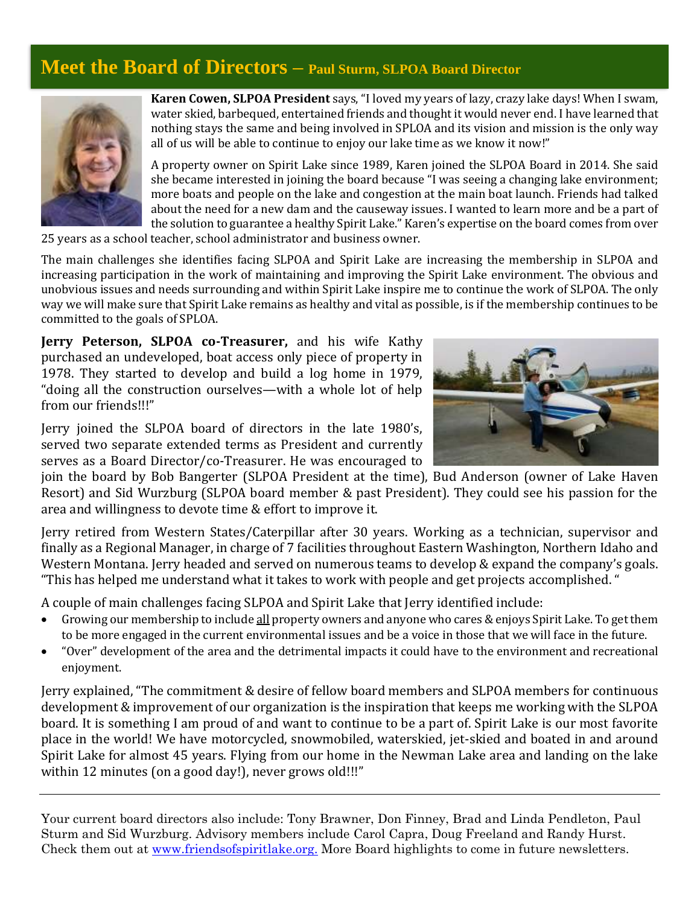#### **Meet the Board of Directors – Paul Sturm, SLPOA Board Director**



**Karen Cowen, SLPOA President** says, "I loved my years of lazy, crazy lake days! When I swam, water skied, barbequed, entertained friends and thought it would never end. I have learned that nothing stays the same and being involved in SPLOA and its vision and mission is the only way all of us will be able to continue to enjoy our lake time as we know it now!"

A property owner on Spirit Lake since 1989, Karen joined the SLPOA Board in 2014. She said she became interested in joining the board because "I was seeing a changing lake environment; more boats and people on the lake and congestion at the main boat launch. Friends had talked about the need for a new dam and the causeway issues. I wanted to learn more and be a part of the solution to guarantee a healthy Spirit Lake." Karen's expertise on the board comes from over

25 years as a school teacher, school administrator and business owner.

The main challenges she identifies facing SLPOA and Spirit Lake are increasing the membership in SLPOA and increasing participation in the work of maintaining and improving the Spirit Lake environment. The obvious and unobvious issues and needs surrounding and within Spirit Lake inspire me to continue the work of SLPOA. The only way we will make sure that Spirit Lake remains as healthy and vital as possible, is if the membership continues to be committed to the goals of SPLOA.

**Jerry Peterson, SLPOA co-Treasurer,** and his wife Kathy purchased an undeveloped, boat access only piece of property in 1978. They started to develop and build a log home in 1979, "doing all the construction ourselves—with a whole lot of help from our friends!!!"

Jerry joined the SLPOA board of directors in the late 1980's, served two separate extended terms as President and currently serves as a Board Director/co-Treasurer. He was encouraged to



join the board by Bob Bangerter (SLPOA President at the time), Bud Anderson (owner of Lake Haven Resort) and Sid Wurzburg (SLPOA board member & past President). They could see his passion for the area and willingness to devote time & effort to improve it.

Jerry retired from Western States/Caterpillar after 30 years. Working as a technician, supervisor and finally as a Regional Manager, in charge of 7 facilities throughout Eastern Washington, Northern Idaho and Western Montana. Jerry headed and served on numerous teams to develop & expand the company's goals. "This has helped me understand what it takes to work with people and get projects accomplished. "

A couple of main challenges facing SLPOA and Spirit Lake that Jerry identified include:

- Growing our membership to include all property owners and anyone who cares & enjoys Spirit Lake. To get them to be more engaged in the current environmental issues and be a voice in those that we will face in the future.
- "Over" development of the area and the detrimental impacts it could have to the environment and recreational enjoyment.

Jerry explained, "The commitment & desire of fellow board members and SLPOA members for continuous development & improvement of our organization is the inspiration that keeps me working with the SLPOA board. It is something I am proud of and want to continue to be a part of. Spirit Lake is our most favorite place in the world! We have motorcycled, snowmobiled, waterskied, jet-skied and boated in and around Spirit Lake for almost 45 years. Flying from our home in the Newman Lake area and landing on the lake within 12 minutes (on a good day!), never grows old!!!"

Your current board directors also include: Tony Brawner, Don Finney, Brad and Linda Pendleton, Paul Sturm and Sid Wurzburg. Advisory members include Carol Capra, Doug Freeland and Randy Hurst. Check them out at [www.friendsofspiritlake.org.](http://www.friends/) More Board highlights to come in future newsletters.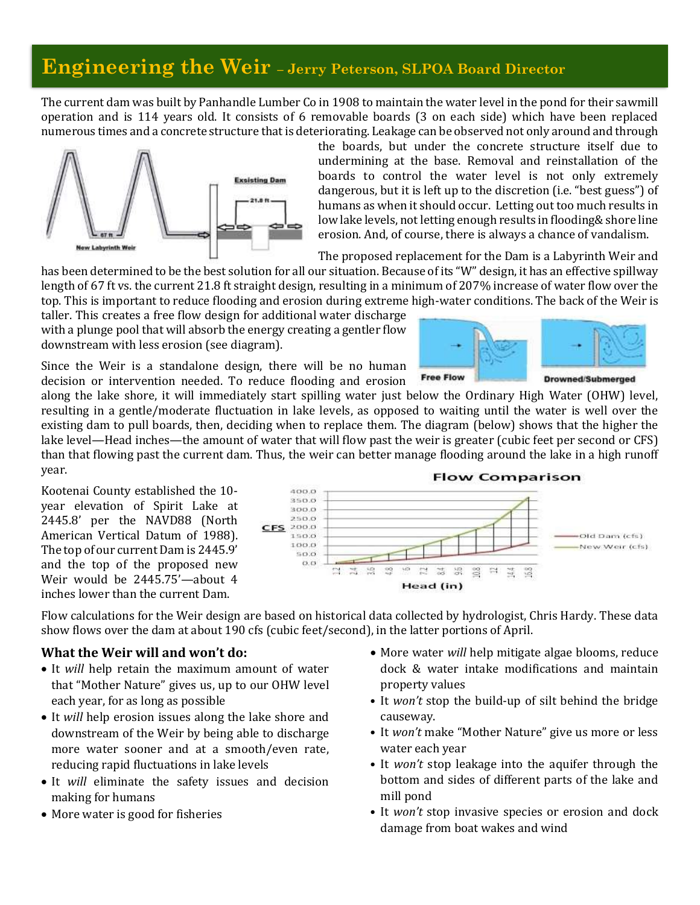### **Engineering the Weir – Jerry Peterson, SLPOA Board Director**

The current dam was built by Panhandle Lumber Co in 1908 to maintain the water level in the pond for their sawmill operation and is 114 years old. It consists of 6 removable boards (3 on each side) which have been replaced numerous times and a concrete structure that is deteriorating. Leakage can be observed not only around and through



the boards, but under the concrete structure itself due to undermining at the base. Removal and reinstallation of the boards to control the water level is not only extremely dangerous, but it is left up to the discretion (i.e. "best guess") of humans as when it should occur. Letting out too much results in low lake levels, not letting enough results in flooding& shore line erosion. And, of course, there is always a chance of vandalism.

The proposed replacement for the Dam is a Labyrinth Weir and

has been determined to be the best solution for all our situation. Because of its "W" design, it has an effective spillway length of 67 ft vs. the current 21.8 ft straight design, resulting in a minimum of 207% increase of water flow over the top. This is important to reduce flooding and erosion during extreme high-water conditions. The back of the Weir is

taller. This creates a free flow design for additional water discharge with a plunge pool that will absorb the energy creating a gentler flow downstream with less erosion (see diagram).

Since the Weir is a standalone design, there will be no human decision or intervention needed. To reduce flooding and erosion

along the lake shore, it will immediately start spilling water just below the Ordinary High Water (OHW) level, resulting in a gentle/moderate fluctuation in lake levels, as opposed to waiting until the water is well over the existing dam to pull boards, then, deciding when to replace them. The diagram (below) shows that the higher the lake level—Head inches—the amount of water that will flow past the weir is greater (cubic feet per second or CFS) than that flowing past the current dam. Thus, the weir can better manage flooding around the lake in a high runoff year. **Flow Comparison** 

> 400.0 350.0 300.0 250.0  $CFS$  200.0 1500

> > 100.0

 $50.0$  $O. O$ 

Kootenai County established the 10 year elevation of Spirit Lake at 2445.8' per the NAVD88 (North American Vertical Datum of 1988). The top of our current Dam is 2445.9' and the top of the proposed new Weir would be 2445.75'—about 4 inches lower than the current Dam.

Flow calculations for the Weir design are based on historical data collected by hydrologist, Chris Hardy. These data show flows over the dam at about 190 cfs (cubic feet/second), in the latter portions of April.

 $3.56$ 

 $\mathbb{Z}$ 

 $\mathbb{S}^2$ 

 $\overline{\mathbb{C}}$  $\frac{14}{60}$ 景  $\mathbb{S}$  $\Xi$ 

Head (in)

#### **What the Weir will and won't do:**

- It *will* help retain the maximum amount of water that "Mother Nature" gives us, up to our OHW level each year, for as long as possible
- It *will* help erosion issues along the lake shore and downstream of the Weir by being able to discharge more water sooner and at a smooth/even rate, reducing rapid fluctuations in lake levels
- It *will* eliminate the safety issues and decision making for humans
- More water is good for fisheries

• More water *will* help mitigate algae blooms, reduce dock & water intake modifications and maintain property values

荨 68

- It *won't* stop the build-up of silt behind the bridge causeway.
- It *won't* make "Mother Nature" give us more or less water each year
- It *won't* stop leakage into the aquifer through the bottom and sides of different parts of the lake and mill pond
- It *won't* stop invasive species or erosion and dock damage from boat wakes and wind



**Drowned/Submerged** 

Old Dam (cfs)

New Weir (cfs)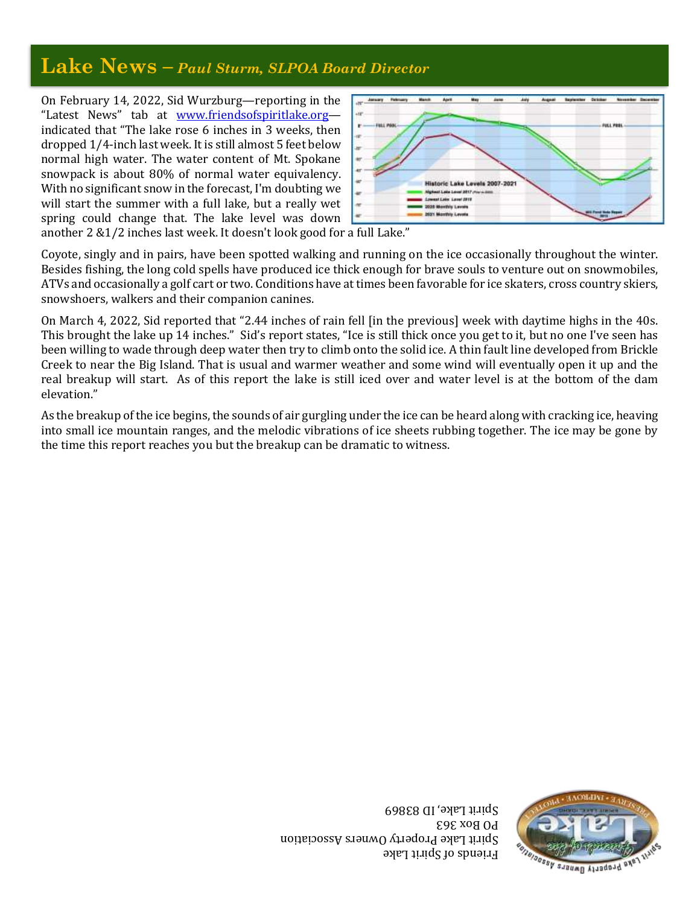### **Lake News –** *Paul Sturm, SLPOA Board Director*

On February 14, 2022, Sid Wurzburg—reporting in the "Latest News" tab at www.friendsofspiritlake.org indicated that "The lake rose 6 inches in 3 weeks, then dropped 1/4-inch last week. It is still almost 5 feet below normal high water. The water content of Mt. Spokane snowpack is about 80% of normal water equivalency. With no significant snow in the forecast, I'm doubting we will start the summer with a full lake, but a really wet spring could change that. The lake level was down



another 2 &1/2 inches last week. It doesn't look good for a full Lake."

Coyote, singly and in pairs, have been spotted walking and running on the ice occasionally throughout the winter. Besides fishing, the long cold spells have produced ice thick enough for brave souls to venture out on snowmobiles, ATVs and occasionally a golf cart or two. Conditions have at times been favorable for ice skaters, cross country skiers, snowshoers, walkers and their companion canines.

On March 4, 2022, Sid reported that "2.44 inches of rain fell [in the previous] week with daytime highs in the 40s. This brought the lake up 14 inches." Sid's report states, "Ice is still thick once you get to it, but no one I've seen has been willing to wade through deep water then try to climb onto the solid ice. A thin fault line developed from Brickle Creek to near the Big Island. That is usual and warmer weather and some wind will eventually open it up and the real breakup will start. As of this report the lake is still iced over and water level is at the bottom of the dam elevation."

As the breakup of the ice begins, the sounds of air gurgling under the ice can be heard along with cracking ice, heaving into small ice mountain ranges, and the melodic vibrations of ice sheets rubbing together. The ice may be gone by the time this report reaches you but the breakup can be dramatic to witness.

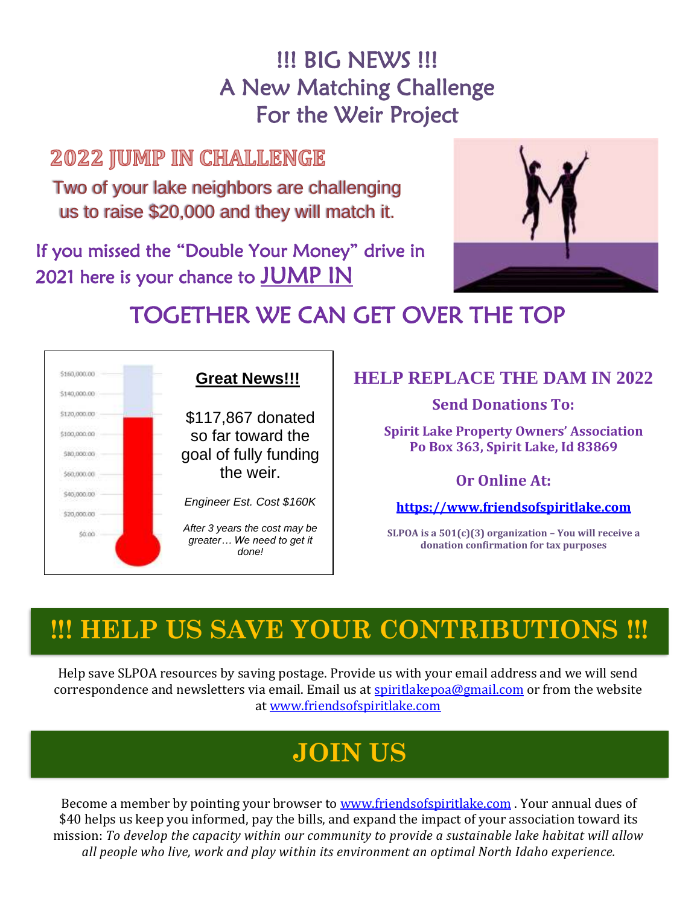## **!!! BIG NEWS !!!** A New Matching Challenge For the Weir Project

### **2022 JUMP IN CHALLENGE**

Two of your lake neighbors are challenging us to raise \$20,000 and they will match it.

If you missed the "Double Your Money" drive in 2021 here is your chance to JUMP IN



# TOGETHER WE CAN GET OVER THE TOP



#### **HELP REPLACE THE DAM IN 2022**

**Send Donations To:**

**Spirit Lake Property Owners' Association Po Box 363, Spirit Lake, Id 83869**

#### **Or Online At:**

**[https://www.friendsofspiritlake.com](https://www.friendsofspiritlake.com/)**

**SLPOA is a 501(c)(3) organization – You will receive a donation confirmation for tax purposes**

# **!!! HELP US SAVE YOUR CONTRIBUTIONS !!!**

Help save SLPOA resources by saving postage. Provide us with your email address and we will send correspondence and newsletters via email. Email us at [spiritlakepoa@gmail.com](mailto:spiritlakepoa@gmail.com) or from the website at [www.friendsofspiritlake.com](http://www.friendsofspiritlake.com/)

# **JOIN US**

Become a member by pointing your browser to [www.friendsofspiritlake.com](http://www.friendsofspiritlake.com/). Your annual dues of \$40 helps us keep you informed, pay the bills, and expand the impact of your association toward its mission: *To develop the capacity within our community to provide a sustainable lake habitat will allow all people who live, work and play within its environment an optimal North Idaho experience.*